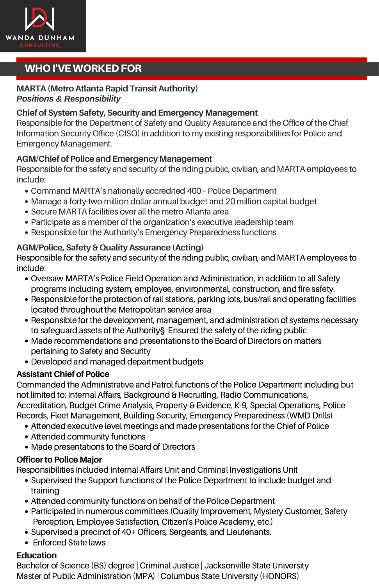

# WHO I'VE WORKED FOR

#### **MARTA (Metro Atlanta Rapid Transit Authority)** *Positions & Responsibility*

#### **Chief of System Safety, Security andEmergency Management**

Responsible for the Department of Safety and Quality Assurance and the Office of the Chief Information Security Office (CISO) in addition to my existing responsibilities for Police and Emergency Management.

#### **AGM/Chief of Police and Emergency Management**

Responsible for the safety and security of the riding public, civilian, and MARTA employees to include:

- Command MARTA's nationally accredited 400+ Police Department
- Manage a forty-two million dollar annual budget and 20 million capital budget
- Secure MARTA facilities over all the metro Atlanta area
- Participate as a member of the organization's executive leadership team
- Responsible for the Authority's Emergency Preparedness functions

#### **AGM/Police, Safety& QualityAssurance (Acting)**

Responsible for the safety and security of the riding public, civilian, and MARTA employees to include:

- Oversaw MARTA's Police Field Operation and Administration, in addition to all Safety programs including system, employee, environmental, construction, and fire safety.
- Responsible for the protection of rail stations, parking lots, bus/rail and operating facilities located throughout the Metropolitan service area
- Responsible for the development, management, and administration of systems necessary to safeguard assets of the Authority§ Ensured the safety of the riding public
- Made recommendations and presentations to the Board of Directors on matters pertaining to Safety and Security
- Developed and managed department budgets

#### **Assistant Chief of Police**

Commanded the Administrative and Patrol functions of the Police Department including but not limited to: Internal Affairs, Background & Recruiting, Radio Communications,<br>Accreditation, Budget Crime Analysis, Property & Evidence, K-9, Special Operations, Police Records, Fleet Management, Building Security, Emergency Preparedness (WMD Drills)

- Attended executive level meetings and made presentations for the Chief of Police
- Attended community functions
- Made presentations to the Board of Directors

#### **Officer to Police Major**

Responsibilities included Internal Affairs Unit and Criminal Investigations Unit

- Supervised the Support functions of the Police Department to include budget and training
- Attended community functions on behalf of the Police Department
- Participated in numerous committees (Quality Improvement, Mystery Customer, Safety Perception, Employee Satisfaction, Citizen's Police Academy, etc.)
- Supervised a precinct of 40+ Officers, Sergeants, and Lieutenants.<br>• Enforced State laws
- 

#### **Education**

Bachelor of Science (BS) degree | Criminal Justice | Jacksonville State University Master of Public Administration (MPA) | Columbus State University (HONORS)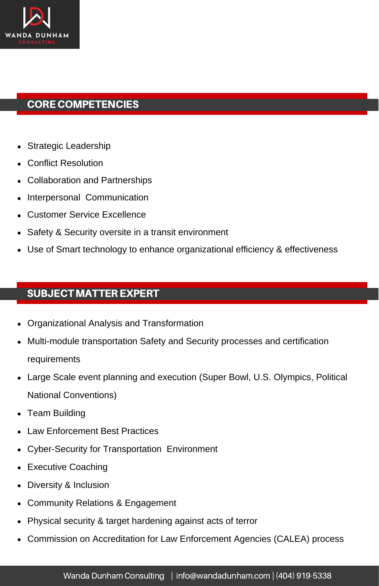

### CORE COMPETENCIES

- Strategic Leadership
- Conflict Resolution
- Collaboration and Partnerships
- Interpersonal Communication  $\bullet$
- Customer Service Excellence
- Safety & Security oversite in a transit environment
- Use of Smart technology to enhance organizational efficiency & effectiveness

# SUBJECT MATTER EXPERT

- Organizational Analysis and Transformation
- Multi-module transportation Safety and Security processes and certification requirements
- Large Scale event planning and execution (Super Bowl, U.S. Olympics, Political National Conventions)
- Team Building
- Law Enforcement Best Practices
- Cyber-Security for Transportation Environment
- Executive Coaching
- Diversity & Inclusion
- Community Relations & Engagement  $\bullet$
- Physical security & target hardening against acts of terror
- Commission on Accreditation for Law Enforcement Agencies (CALEA) process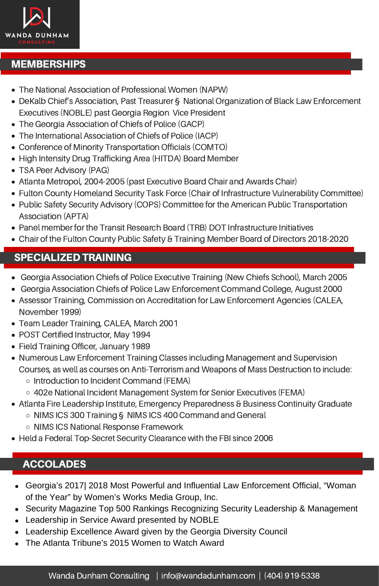

### **MEMBERSHIPS**

- The National Association of Professional Women (NAPW)
- DeKalb Chief's Association, Past Treasurer § National Organization of Black Law Enforcement Executives (NOBLE) past Georgia Region Vice President
- The Georgia Association of Chiefs of Police (GACP)
- The International Association of Chiefs of Police (IACP)
- Conference of Minority Transportation Officials (COMTO)
- High Intensity Drug Trafficking Area (HITDA) Board Member
- TSA Peer Advisory (PAG)
- Atlanta Metropol, 2004-2005 (past Executive Board Chair and Awards Chair)
- Fulton County Homeland Security Task Force (Chair of Infrastructure Vulnerability Committee)
- Public Safety Security Advisory (COPS) Committee for the American Public Transportation Association (APTA)
- Panel member for the Transit Research Board (TRB) DOT Infrastructure Initiatives
- Chair of the Fulton County Public Safety & Training Member Board of Directors 2018-2020

### SPECIALIZED TRAINING

- Georgia Association Chiefs of Police Executive Training (New Chiefs School), March 2005
- Georgia Association Chiefs of Police Law Enforcement Command College, August 2000
- Assessor Training, Commission on Accreditation for Law Enforcement Agencies (CALEA, November 1999)
- Team Leader Training, CALEA, March 2001
- POST Certified Instructor, May 1994
- Field Training Officer, January 1989
- Numerous Law Enforcement Training Classes including Management and Supervision Courses, as well as courses on Anti-Terrorism and Weapons of Mass Destruction to include:
	- Introduction to Incident Command (FEMA)
	- 402e National Incident Management System for Senior Executives (FEMA)
- Atlanta Fire Leadership Institute, Emergency Preparedness & Business Continuity Graduate
	- NIMS ICS 300 Training § NIMS ICS 400 Command and General
	- NIMS ICS National Response Framework
- Held a Federal Top-Secret Security Clearance with the FBI since 2006

### **ACCOLADES**

- Georgia's 2017| 2018 Most Powerful and Influential Law Enforcement Official, "Woman of the Year" by Women's Works Media Group, Inc.
- Security Magazine Top 500 Rankings Recognizing Security Leadership & Management
- Leadership in Service Award presented by NOBLE
- Leadership Excellence Award given by the Georgia Diversity Council
- The Atlanta Tribune's 2015 Women to Watch Award